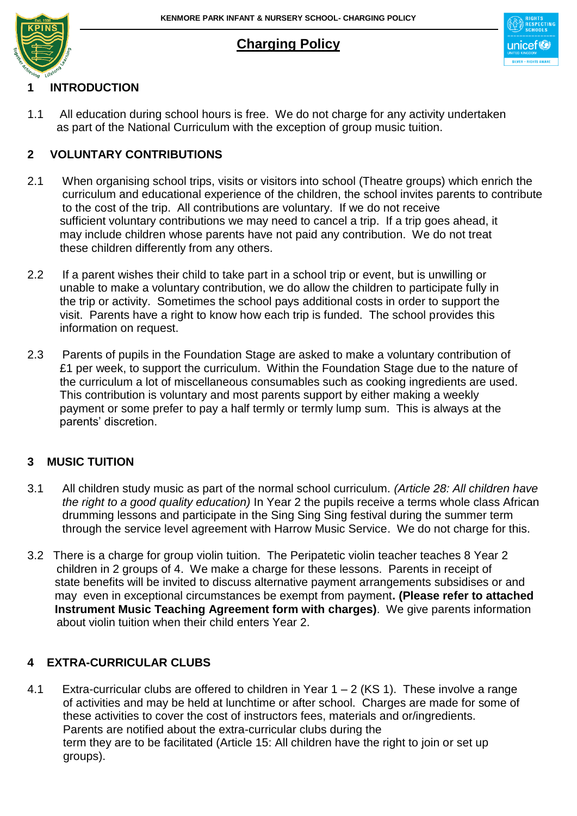# **Charging Policy**



# **1 INTRODUCTION**

1.1 All education during school hours is free. We do not charge for any activity undertaken as part of the National Curriculum with the exception of group music tuition.

## **2 VOLUNTARY CONTRIBUTIONS**

- 2.1 When organising school trips, visits or visitors into school (Theatre groups) which enrich the curriculum and educational experience of the children, the school invites parents to contribute to the cost of the trip. All contributions are voluntary. If we do not receive sufficient voluntary contributions we may need to cancel a trip. If a trip goes ahead, it may include children whose parents have not paid any contribution. We do not treat these children differently from any others.
- 2.2 If a parent wishes their child to take part in a school trip or event, but is unwilling or unable to make a voluntary contribution, we do allow the children to participate fully in the trip or activity. Sometimes the school pays additional costs in order to support the visit. Parents have a right to know how each trip is funded. The school provides this information on request.
- 2.3 Parents of pupils in the Foundation Stage are asked to make a voluntary contribution of £1 per week, to support the curriculum. Within the Foundation Stage due to the nature of the curriculum a lot of miscellaneous consumables such as cooking ingredients are used. This contribution is voluntary and most parents support by either making a weekly payment or some prefer to pay a half termly or termly lump sum. This is always at the parents' discretion.

#### **3 MUSIC TUITION**

- 3.1 All children study music as part of the normal school curriculum. *(Article 28: All children have the right to a good quality education)* In Year 2 the pupils receive a terms whole class African drumming lessons and participate in the Sing Sing Sing festival during the summer term through the service level agreement with Harrow Music Service. We do not charge for this.
- 3.2 There is a charge for group violin tuition. The Peripatetic violin teacher teaches 8 Year 2 children in 2 groups of 4. We make a charge for these lessons. Parents in receipt of state benefits will be invited to discuss alternative payment arrangements subsidises or and may even in exceptional circumstances be exempt from payment**. (Please refer to attached Instrument Music Teaching Agreement form with charges)**. We give parents information about violin tuition when their child enters Year 2.

# **4 EXTRA-CURRICULAR CLUBS**

4.1 Extra-curricular clubs are offered to children in Year  $1 - 2$  (KS 1). These involve a range of activities and may be held at lunchtime or after school. Charges are made for some of these activities to cover the cost of instructors fees, materials and or/ingredients. Parents are notified about the extra-curricular clubs during the term they are to be facilitated (Article 15: All children have the right to join or set up groups).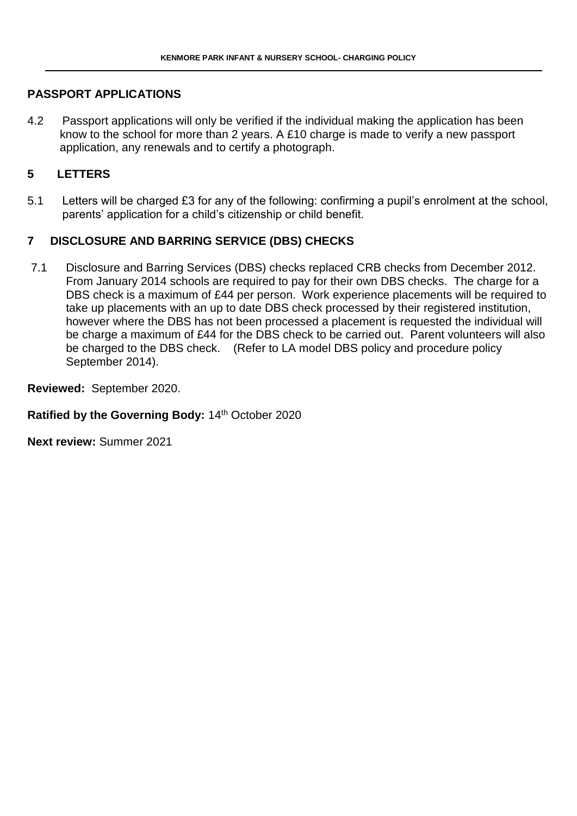#### **PASSPORT APPLICATIONS**

4.2 Passport applications will only be verified if the individual making the application has been know to the school for more than 2 years. A £10 charge is made to verify a new passport application, any renewals and to certify a photograph.

#### **5 LETTERS**

5.1 Letters will be charged £3 for any of the following: confirming a pupil's enrolment at the school, parents' application for a child's citizenship or child benefit.

#### **7 DISCLOSURE AND BARRING SERVICE (DBS) CHECKS**

7.1 Disclosure and Barring Services (DBS) checks replaced CRB checks from December 2012. From January 2014 schools are required to pay for their own DBS checks. The charge for a DBS check is a maximum of £44 per person. Work experience placements will be required to take up placements with an up to date DBS check processed by their registered institution, however where the DBS has not been processed a placement is requested the individual will be charge a maximum of £44 for the DBS check to be carried out. Parent volunteers will also be charged to the DBS check. (Refer to LA model DBS policy and procedure policy September 2014).

**Reviewed:** September 2020.

Ratified by the Governing Body: 14<sup>th</sup> October 2020

**Next review:** Summer 2021